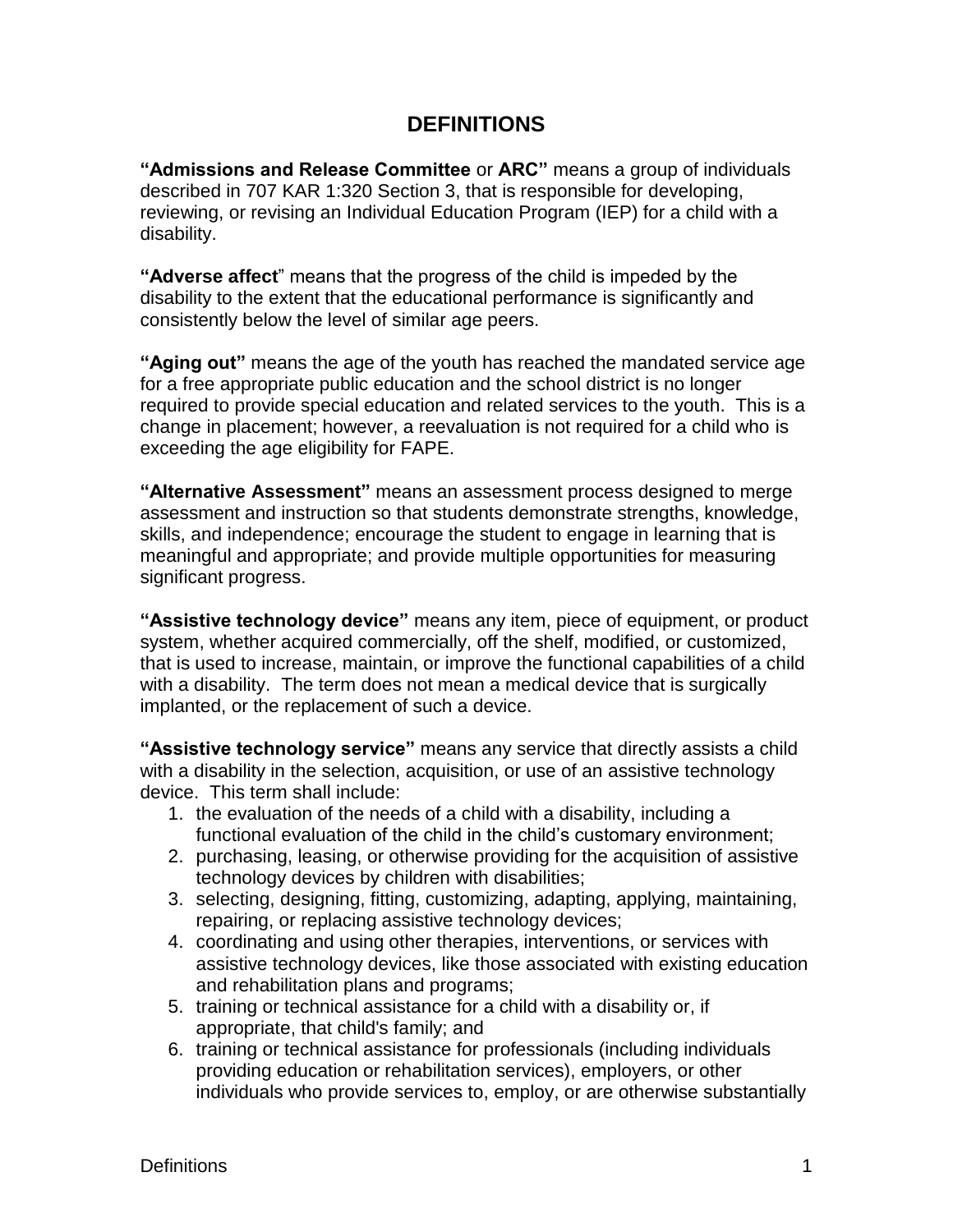## **DEFINITIONS**

**"Admissions and Release Committee** or **ARC"** means a group of individuals described in 707 KAR 1:320 Section 3, that is responsible for developing, reviewing, or revising an Individual Education Program (IEP) for a child with a disability.

**"Adverse affect**" means that the progress of the child is impeded by the disability to the extent that the educational performance is significantly and consistently below the level of similar age peers.

**"Aging out"** means the age of the youth has reached the mandated service age for a free appropriate public education and the school district is no longer required to provide special education and related services to the youth. This is a change in placement; however, a reevaluation is not required for a child who is exceeding the age eligibility for FAPE.

**"Alternative Assessment"** means an assessment process designed to merge assessment and instruction so that students demonstrate strengths, knowledge, skills, and independence; encourage the student to engage in learning that is meaningful and appropriate; and provide multiple opportunities for measuring significant progress.

**"Assistive technology device"** means any item, piece of equipment, or product system, whether acquired commercially, off the shelf, modified, or customized, that is used to increase, maintain, or improve the functional capabilities of a child with a disability. The term does not mean a medical device that is surgically implanted, or the replacement of such a device.

**"Assistive technology service"** means any service that directly assists a child with a disability in the selection, acquisition, or use of an assistive technology device. This term shall include:

- 1. the evaluation of the needs of a child with a disability, including a functional evaluation of the child in the child's customary environment;
- 2. purchasing, leasing, or otherwise providing for the acquisition of assistive technology devices by children with disabilities;
- 3. selecting, designing, fitting, customizing, adapting, applying, maintaining, repairing, or replacing assistive technology devices;
- 4. coordinating and using other therapies, interventions, or services with assistive technology devices, like those associated with existing education and rehabilitation plans and programs;
- 5. training or technical assistance for a child with a disability or, if appropriate, that child's family; and
- 6. training or technical assistance for professionals (including individuals providing education or rehabilitation services), employers, or other individuals who provide services to, employ, or are otherwise substantially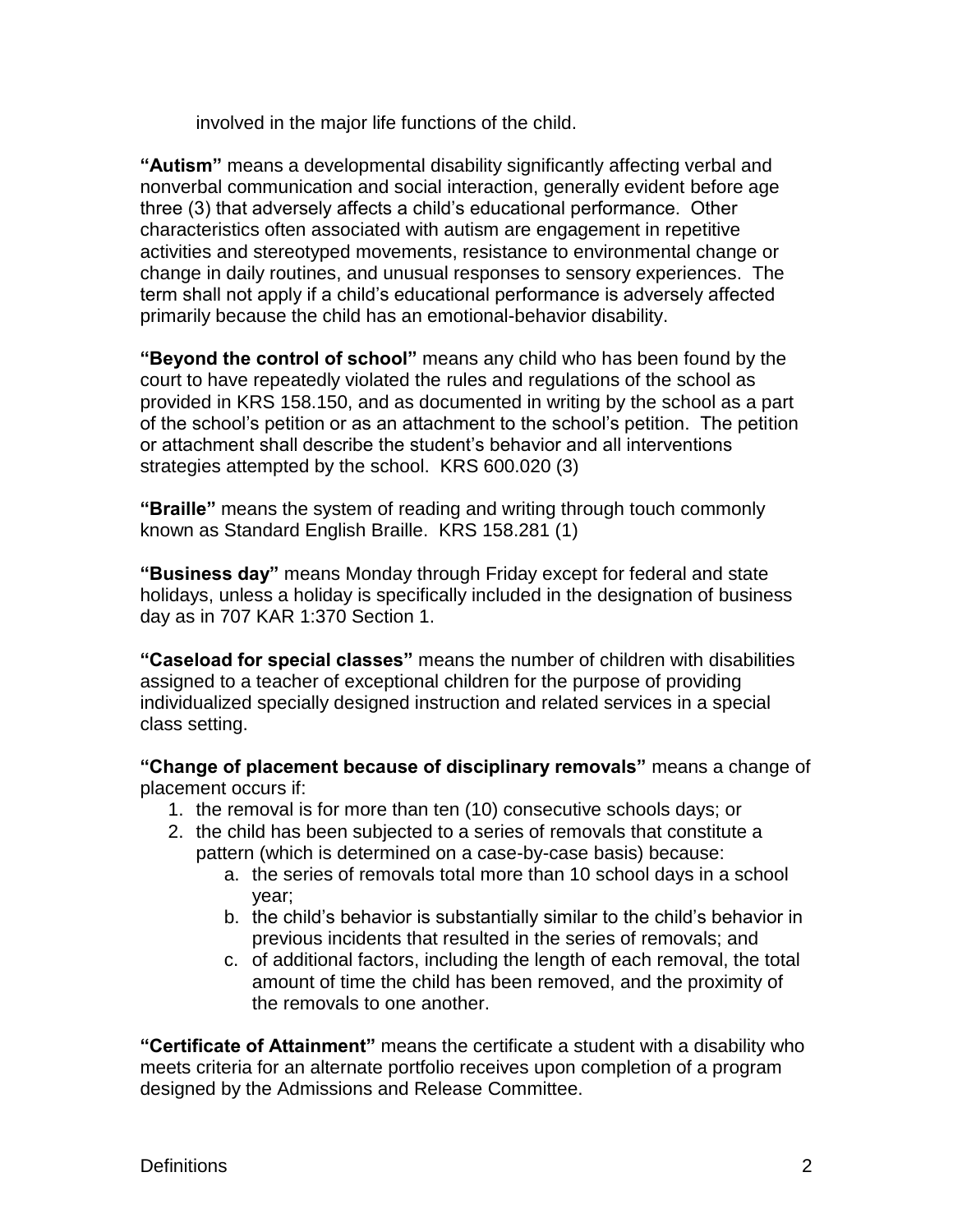involved in the major life functions of the child.

**"Autism"** means a developmental disability significantly affecting verbal and nonverbal communication and social interaction, generally evident before age three (3) that adversely affects a child's educational performance. Other characteristics often associated with autism are engagement in repetitive activities and stereotyped movements, resistance to environmental change or change in daily routines, and unusual responses to sensory experiences. The term shall not apply if a child's educational performance is adversely affected primarily because the child has an emotional-behavior disability.

**"Beyond the control of school"** means any child who has been found by the court to have repeatedly violated the rules and regulations of the school as provided in KRS 158.150, and as documented in writing by the school as a part of the school's petition or as an attachment to the school's petition. The petition or attachment shall describe the student's behavior and all interventions strategies attempted by the school. KRS 600.020 (3)

**"Braille"** means the system of reading and writing through touch commonly known as Standard English Braille. KRS 158.281 (1)

**"Business day"** means Monday through Friday except for federal and state holidays, unless a holiday is specifically included in the designation of business day as in 707 KAR 1:370 Section 1.

**"Caseload for special classes"** means the number of children with disabilities assigned to a teacher of exceptional children for the purpose of providing individualized specially designed instruction and related services in a special class setting.

**"Change of placement because of disciplinary removals"** means a change of placement occurs if:

- 1. the removal is for more than ten (10) consecutive schools days; or
- 2. the child has been subjected to a series of removals that constitute a pattern (which is determined on a case-by-case basis) because:
	- a. the series of removals total more than 10 school days in a school year;
	- b. the child's behavior is substantially similar to the child's behavior in previous incidents that resulted in the series of removals; and
	- c. of additional factors, including the length of each removal, the total amount of time the child has been removed, and the proximity of the removals to one another.

**"Certificate of Attainment"** means the certificate a student with a disability who meets criteria for an alternate portfolio receives upon completion of a program designed by the Admissions and Release Committee.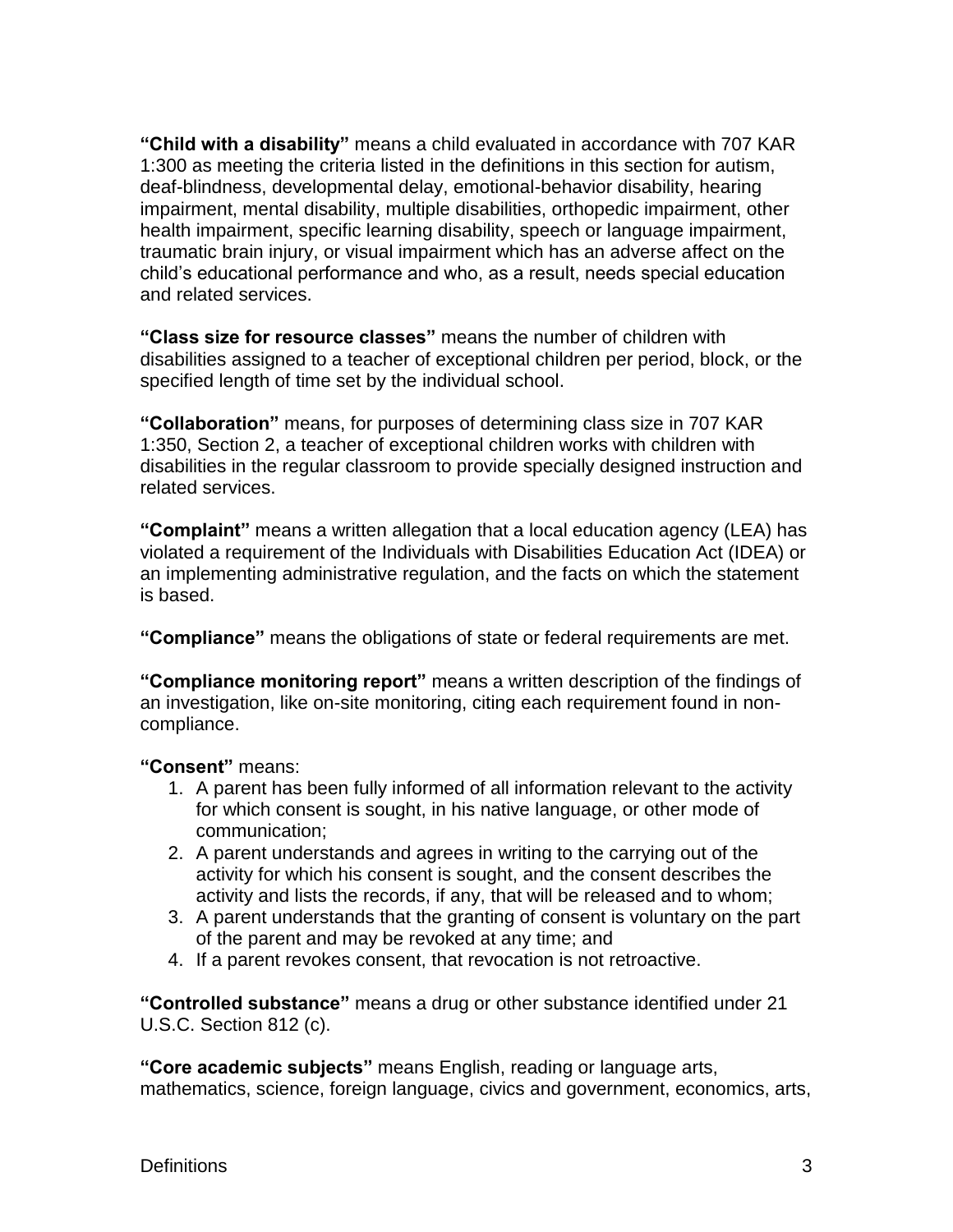**"Child with a disability"** means a child evaluated in accordance with 707 KAR 1:300 as meeting the criteria listed in the definitions in this section for autism, deaf-blindness, developmental delay, emotional-behavior disability, hearing impairment, mental disability, multiple disabilities, orthopedic impairment, other health impairment, specific learning disability, speech or language impairment, traumatic brain injury, or visual impairment which has an adverse affect on the child's educational performance and who, as a result, needs special education and related services.

**"Class size for resource classes"** means the number of children with disabilities assigned to a teacher of exceptional children per period, block, or the specified length of time set by the individual school.

**"Collaboration"** means, for purposes of determining class size in 707 KAR 1:350, Section 2, a teacher of exceptional children works with children with disabilities in the regular classroom to provide specially designed instruction and related services.

**"Complaint"** means a written allegation that a local education agency (LEA) has violated a requirement of the Individuals with Disabilities Education Act (IDEA) or an implementing administrative regulation, and the facts on which the statement is based.

**"Compliance"** means the obligations of state or federal requirements are met.

**"Compliance monitoring report"** means a written description of the findings of an investigation, like on-site monitoring, citing each requirement found in noncompliance.

## **"Consent"** means:

- 1. A parent has been fully informed of all information relevant to the activity for which consent is sought, in his native language, or other mode of communication;
- 2. A parent understands and agrees in writing to the carrying out of the activity for which his consent is sought, and the consent describes the activity and lists the records, if any, that will be released and to whom;
- 3. A parent understands that the granting of consent is voluntary on the part of the parent and may be revoked at any time; and
- 4. If a parent revokes consent, that revocation is not retroactive.

**"Controlled substance"** means a drug or other substance identified under 21 U.S.C. Section 812 (c).

**"Core academic subjects"** means English, reading or language arts, mathematics, science, foreign language, civics and government, economics, arts,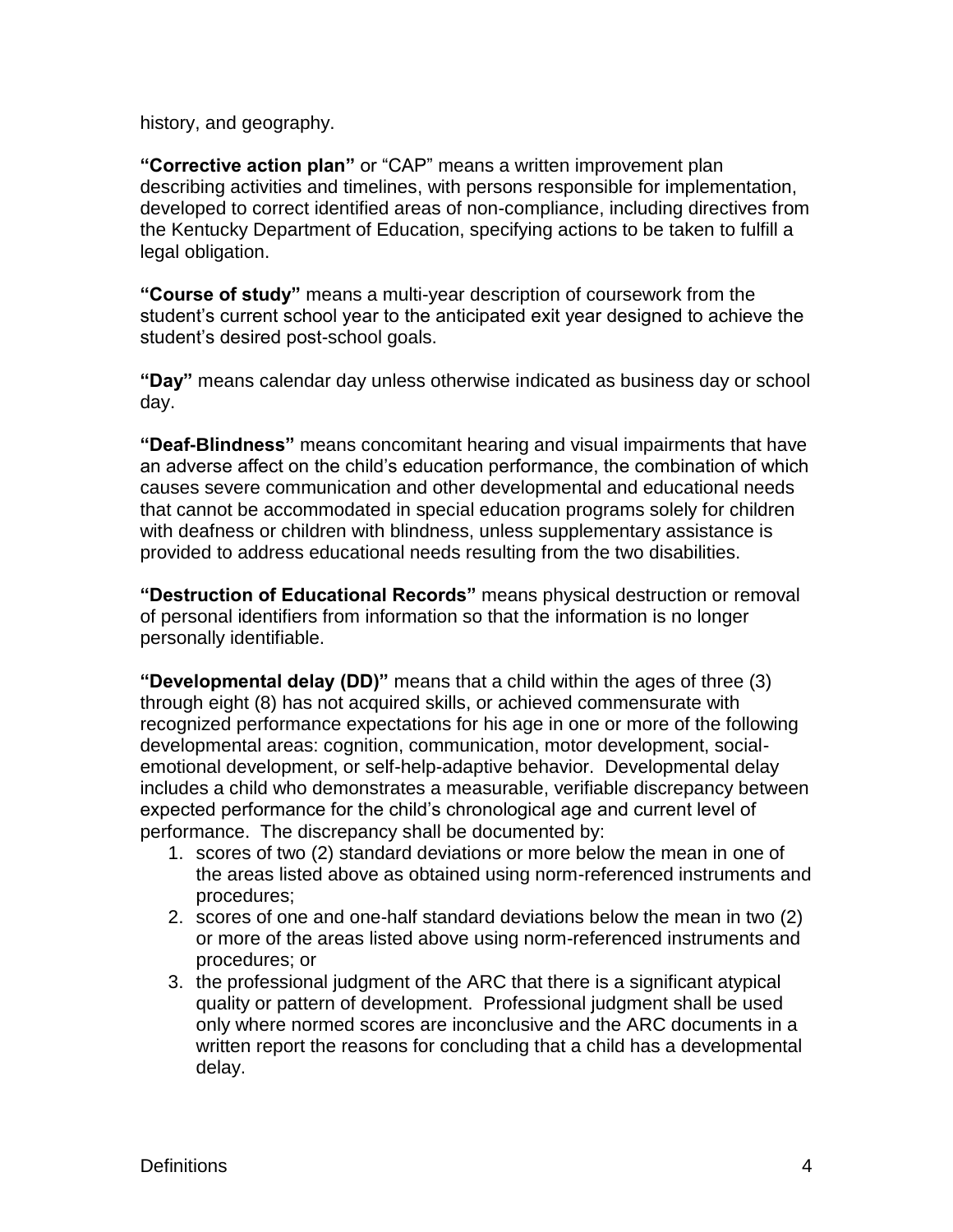history, and geography.

**"Corrective action plan"** or "CAP" means a written improvement plan describing activities and timelines, with persons responsible for implementation, developed to correct identified areas of non-compliance, including directives from the Kentucky Department of Education, specifying actions to be taken to fulfill a legal obligation.

**"Course of study"** means a multi-year description of coursework from the student's current school year to the anticipated exit year designed to achieve the student's desired post-school goals.

**"Day"** means calendar day unless otherwise indicated as business day or school day.

**"Deaf-Blindness"** means concomitant hearing and visual impairments that have an adverse affect on the child's education performance, the combination of which causes severe communication and other developmental and educational needs that cannot be accommodated in special education programs solely for children with deafness or children with blindness, unless supplementary assistance is provided to address educational needs resulting from the two disabilities.

**"Destruction of Educational Records"** means physical destruction or removal of personal identifiers from information so that the information is no longer personally identifiable.

**"Developmental delay (DD)"** means that a child within the ages of three (3) through eight (8) has not acquired skills, or achieved commensurate with recognized performance expectations for his age in one or more of the following developmental areas: cognition, communication, motor development, socialemotional development, or self-help-adaptive behavior. Developmental delay includes a child who demonstrates a measurable, verifiable discrepancy between expected performance for the child's chronological age and current level of performance. The discrepancy shall be documented by:

- 1. scores of two (2) standard deviations or more below the mean in one of the areas listed above as obtained using norm-referenced instruments and procedures;
- 2. scores of one and one-half standard deviations below the mean in two (2) or more of the areas listed above using norm-referenced instruments and procedures; or
- 3. the professional judgment of the ARC that there is a significant atypical quality or pattern of development. Professional judgment shall be used only where normed scores are inconclusive and the ARC documents in a written report the reasons for concluding that a child has a developmental delay.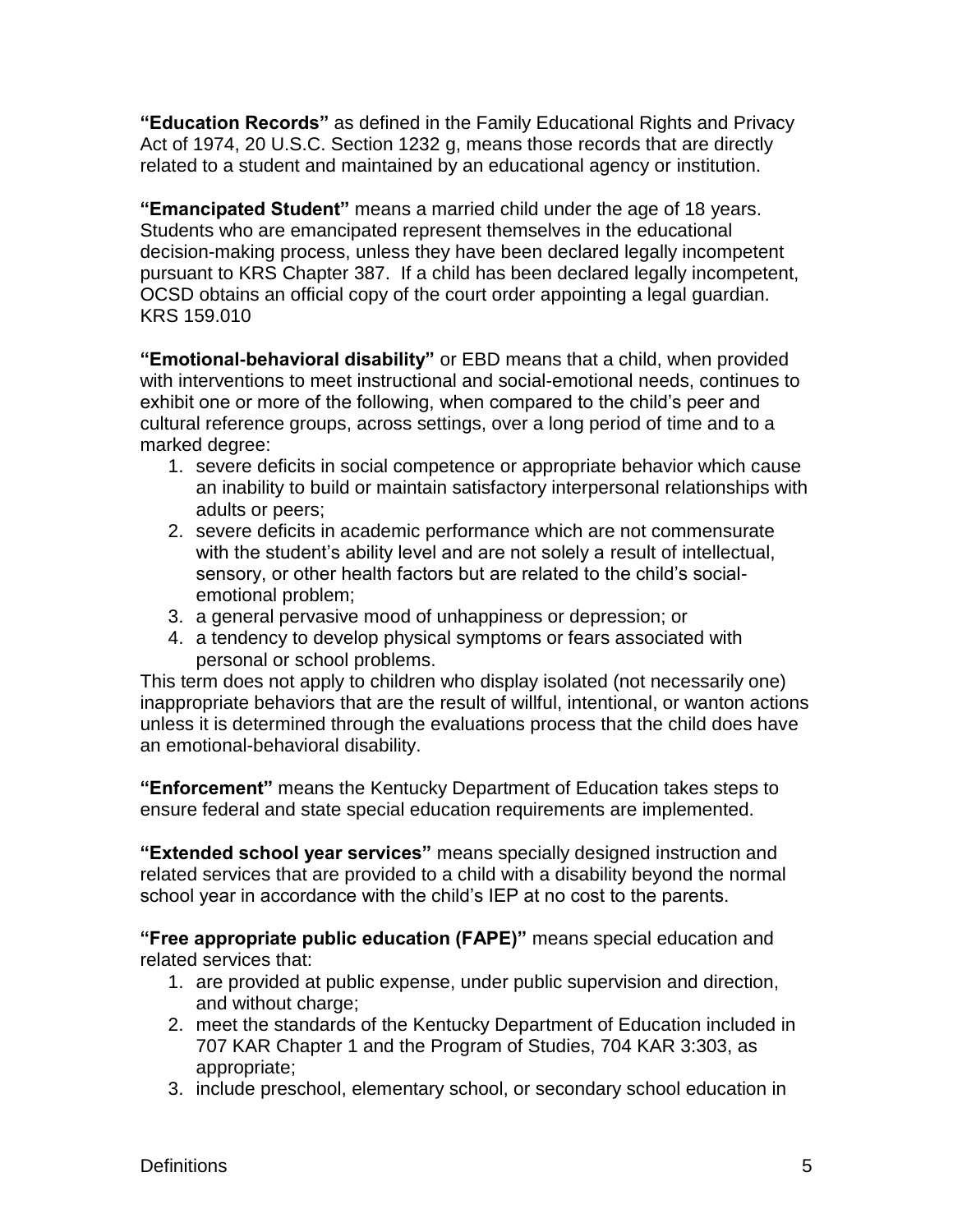**"Education Records"** as defined in the Family Educational Rights and Privacy Act of 1974, 20 U.S.C. Section 1232 g, means those records that are directly related to a student and maintained by an educational agency or institution.

**"Emancipated Student"** means a married child under the age of 18 years. Students who are emancipated represent themselves in the educational decision-making process, unless they have been declared legally incompetent pursuant to KRS Chapter 387. If a child has been declared legally incompetent, OCSD obtains an official copy of the court order appointing a legal guardian. KRS 159.010

**"Emotional-behavioral disability"** or EBD means that a child, when provided with interventions to meet instructional and social-emotional needs, continues to exhibit one or more of the following, when compared to the child's peer and cultural reference groups, across settings, over a long period of time and to a marked degree:

- 1. severe deficits in social competence or appropriate behavior which cause an inability to build or maintain satisfactory interpersonal relationships with adults or peers;
- 2. severe deficits in academic performance which are not commensurate with the student's ability level and are not solely a result of intellectual, sensory, or other health factors but are related to the child's socialemotional problem;
- 3. a general pervasive mood of unhappiness or depression; or
- 4. a tendency to develop physical symptoms or fears associated with personal or school problems.

This term does not apply to children who display isolated (not necessarily one) inappropriate behaviors that are the result of willful, intentional, or wanton actions unless it is determined through the evaluations process that the child does have an emotional-behavioral disability.

**"Enforcement"** means the Kentucky Department of Education takes steps to ensure federal and state special education requirements are implemented.

**"Extended school year services"** means specially designed instruction and related services that are provided to a child with a disability beyond the normal school year in accordance with the child's IEP at no cost to the parents.

**"Free appropriate public education (FAPE)"** means special education and related services that:

- 1. are provided at public expense, under public supervision and direction, and without charge;
- 2. meet the standards of the Kentucky Department of Education included in 707 KAR Chapter 1 and the Program of Studies, 704 KAR 3:303, as appropriate;
- 3. include preschool, elementary school, or secondary school education in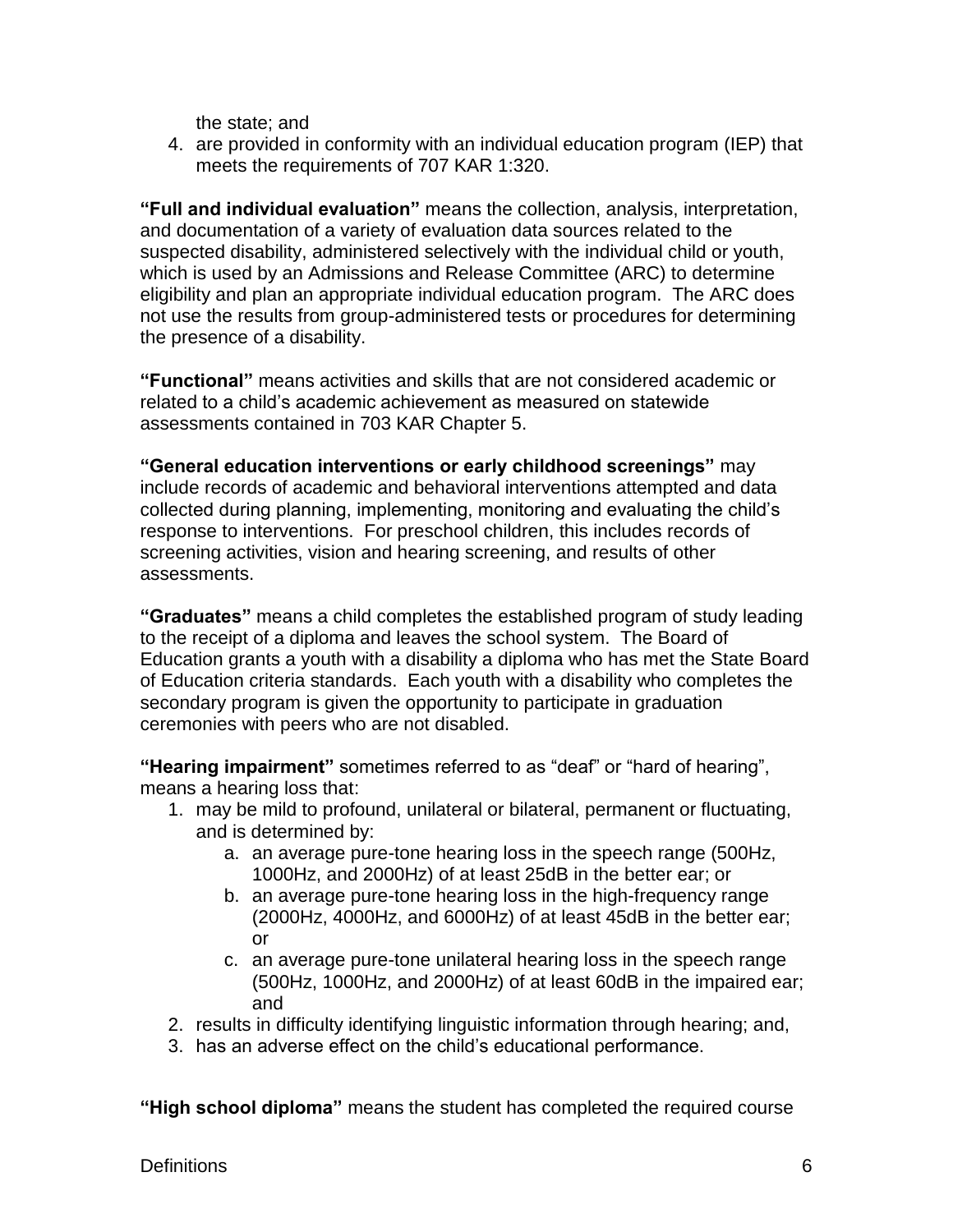the state; and

4. are provided in conformity with an individual education program (IEP) that meets the requirements of 707 KAR 1:320.

**"Full and individual evaluation"** means the collection, analysis, interpretation, and documentation of a variety of evaluation data sources related to the suspected disability, administered selectively with the individual child or youth, which is used by an Admissions and Release Committee (ARC) to determine eligibility and plan an appropriate individual education program. The ARC does not use the results from group-administered tests or procedures for determining the presence of a disability.

**"Functional"** means activities and skills that are not considered academic or related to a child's academic achievement as measured on statewide assessments contained in 703 KAR Chapter 5.

**"General education interventions or early childhood screenings"** may include records of academic and behavioral interventions attempted and data collected during planning, implementing, monitoring and evaluating the child's response to interventions. For preschool children, this includes records of screening activities, vision and hearing screening, and results of other assessments.

**"Graduates"** means a child completes the established program of study leading to the receipt of a diploma and leaves the school system. The Board of Education grants a youth with a disability a diploma who has met the State Board of Education criteria standards. Each youth with a disability who completes the secondary program is given the opportunity to participate in graduation ceremonies with peers who are not disabled.

**"Hearing impairment"** sometimes referred to as "deaf" or "hard of hearing", means a hearing loss that:

- 1. may be mild to profound, unilateral or bilateral, permanent or fluctuating, and is determined by:
	- a. an average pure-tone hearing loss in the speech range (500Hz, 1000Hz, and 2000Hz) of at least 25dB in the better ear; or
	- b. an average pure-tone hearing loss in the high-frequency range (2000Hz, 4000Hz, and 6000Hz) of at least 45dB in the better ear; or
	- c. an average pure-tone unilateral hearing loss in the speech range (500Hz, 1000Hz, and 2000Hz) of at least 60dB in the impaired ear; and
- 2. results in difficulty identifying linguistic information through hearing; and,
- 3. has an adverse effect on the child's educational performance.

**"High school diploma"** means the student has completed the required course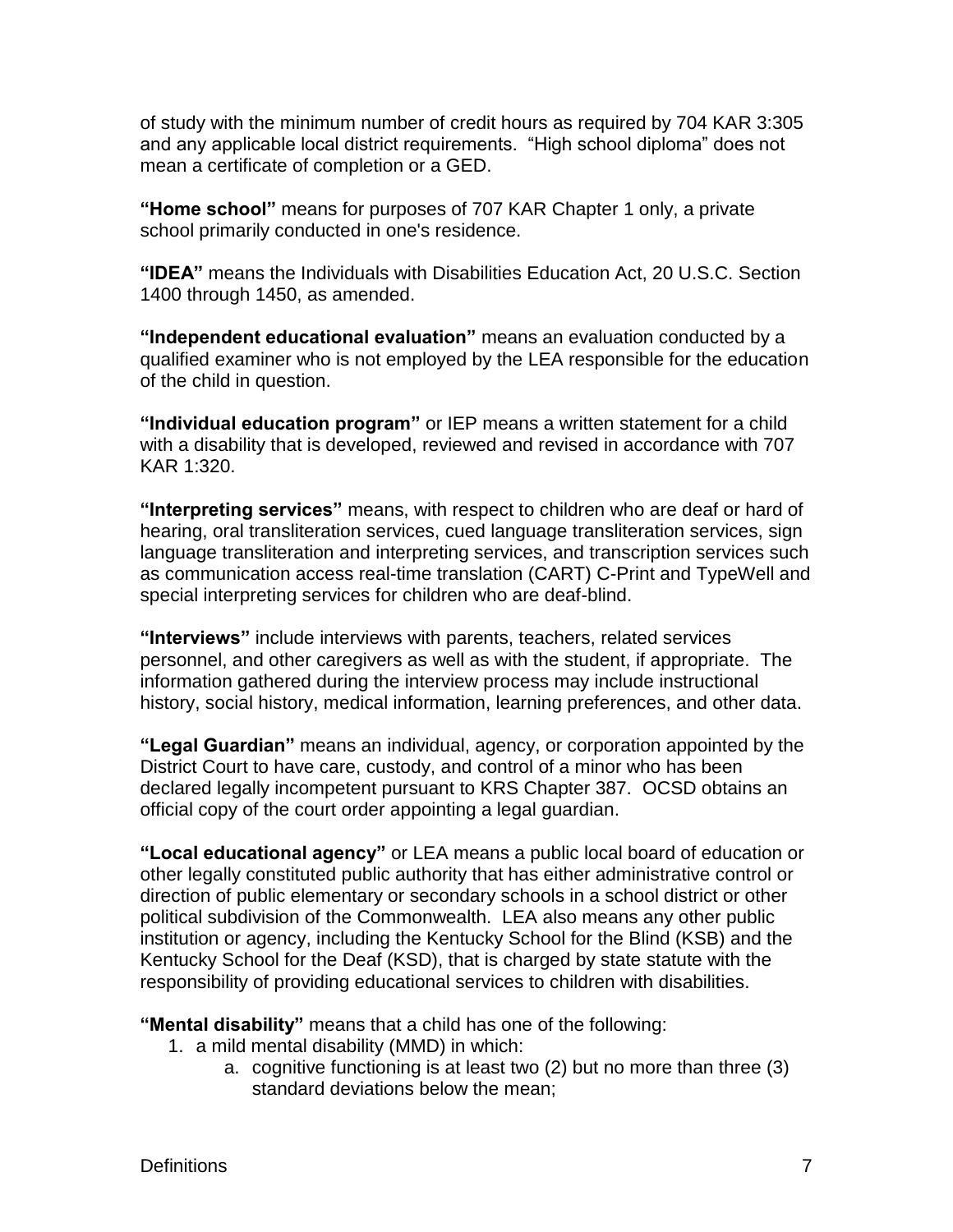of study with the minimum number of credit hours as required by 704 KAR 3:305 and any applicable local district requirements. "High school diploma" does not mean a certificate of completion or a GED.

**"Home school"** means for purposes of 707 KAR Chapter 1 only, a private school primarily conducted in one's residence.

**"IDEA"** means the Individuals with Disabilities Education Act, 20 U.S.C. Section 1400 through 1450, as amended.

**"Independent educational evaluation"** means an evaluation conducted by a qualified examiner who is not employed by the LEA responsible for the education of the child in question.

**"Individual education program"** or IEP means a written statement for a child with a disability that is developed, reviewed and revised in accordance with 707 KAR 1:320.

**"Interpreting services"** means, with respect to children who are deaf or hard of hearing, oral transliteration services, cued language transliteration services, sign language transliteration and interpreting services, and transcription services such as communication access real-time translation (CART) C-Print and TypeWell and special interpreting services for children who are deaf-blind.

**"Interviews"** include interviews with parents, teachers, related services personnel, and other caregivers as well as with the student, if appropriate. The information gathered during the interview process may include instructional history, social history, medical information, learning preferences, and other data.

**"Legal Guardian"** means an individual, agency, or corporation appointed by the District Court to have care, custody, and control of a minor who has been declared legally incompetent pursuant to KRS Chapter 387. OCSD obtains an official copy of the court order appointing a legal guardian.

**"Local educational agency"** or LEA means a public local board of education or other legally constituted public authority that has either administrative control or direction of public elementary or secondary schools in a school district or other political subdivision of the Commonwealth. LEA also means any other public institution or agency, including the Kentucky School for the Blind (KSB) and the Kentucky School for the Deaf (KSD), that is charged by state statute with the responsibility of providing educational services to children with disabilities.

**"Mental disability"** means that a child has one of the following:

- 1. a mild mental disability (MMD) in which:
	- a. cognitive functioning is at least two (2) but no more than three (3) standard deviations below the mean;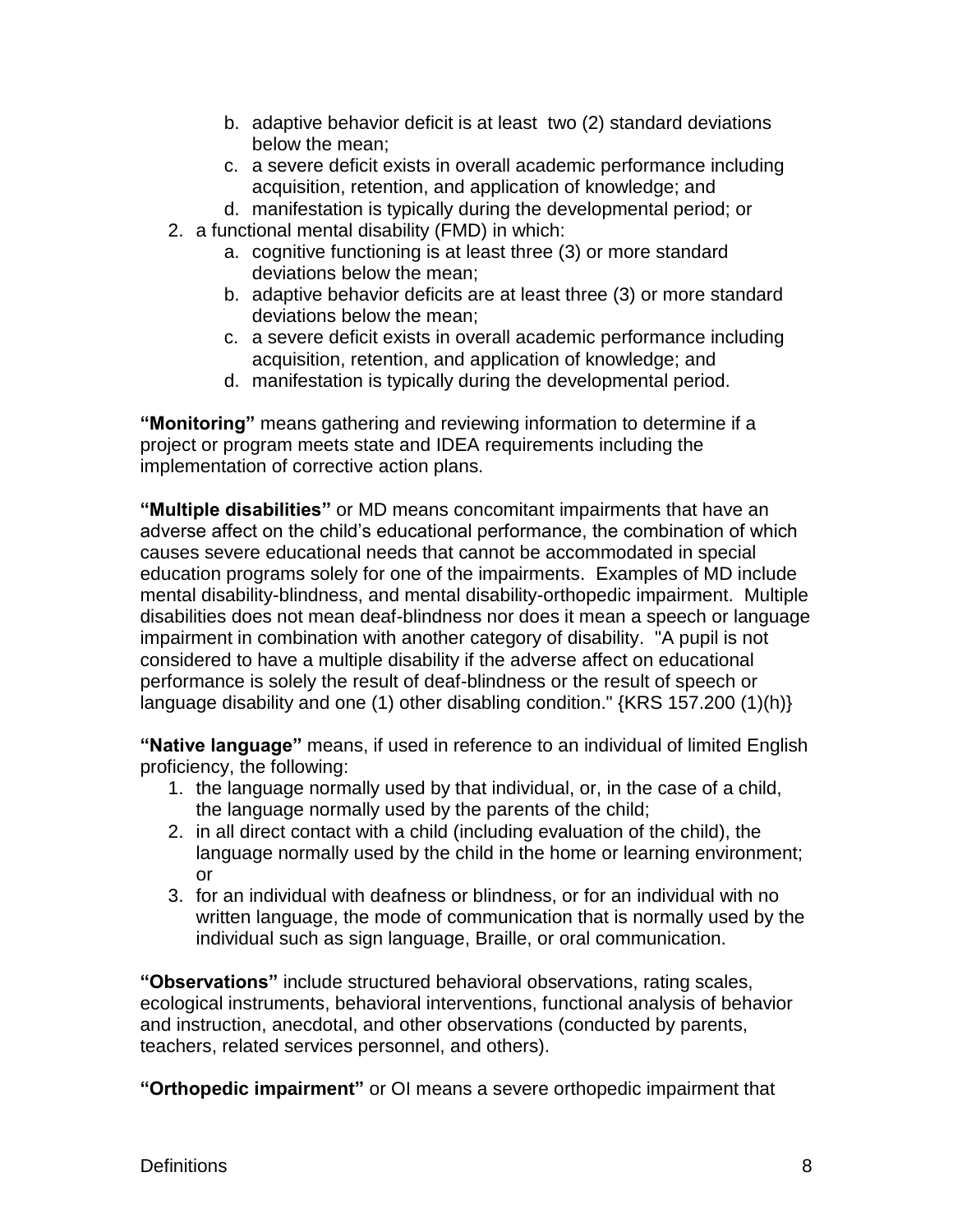- b. adaptive behavior deficit is at least two (2) standard deviations below the mean;
- c. a severe deficit exists in overall academic performance including acquisition, retention, and application of knowledge; and
- d. manifestation is typically during the developmental period; or
- 2. a functional mental disability (FMD) in which:
	- a. cognitive functioning is at least three (3) or more standard deviations below the mean;
	- b. adaptive behavior deficits are at least three (3) or more standard deviations below the mean;
	- c. a severe deficit exists in overall academic performance including acquisition, retention, and application of knowledge; and
	- d. manifestation is typically during the developmental period.

**"Monitoring"** means gathering and reviewing information to determine if a project or program meets state and IDEA requirements including the implementation of corrective action plans.

**"Multiple disabilities"** or MD means concomitant impairments that have an adverse affect on the child's educational performance, the combination of which causes severe educational needs that cannot be accommodated in special education programs solely for one of the impairments. Examples of MD include mental disability-blindness, and mental disability-orthopedic impairment. Multiple disabilities does not mean deaf-blindness nor does it mean a speech or language impairment in combination with another category of disability. "A pupil is not considered to have a multiple disability if the adverse affect on educational performance is solely the result of deaf-blindness or the result of speech or language disability and one (1) other disabling condition." {KRS 157.200 (1)(h)}

**"Native language"** means, if used in reference to an individual of limited English proficiency, the following:

- 1. the language normally used by that individual, or, in the case of a child, the language normally used by the parents of the child;
- 2. in all direct contact with a child (including evaluation of the child), the language normally used by the child in the home or learning environment; or
- 3. for an individual with deafness or blindness, or for an individual with no written language, the mode of communication that is normally used by the individual such as sign language, Braille, or oral communication.

**"Observations"** include structured behavioral observations, rating scales, ecological instruments, behavioral interventions, functional analysis of behavior and instruction, anecdotal, and other observations (conducted by parents, teachers, related services personnel, and others).

**"Orthopedic impairment"** or OI means a severe orthopedic impairment that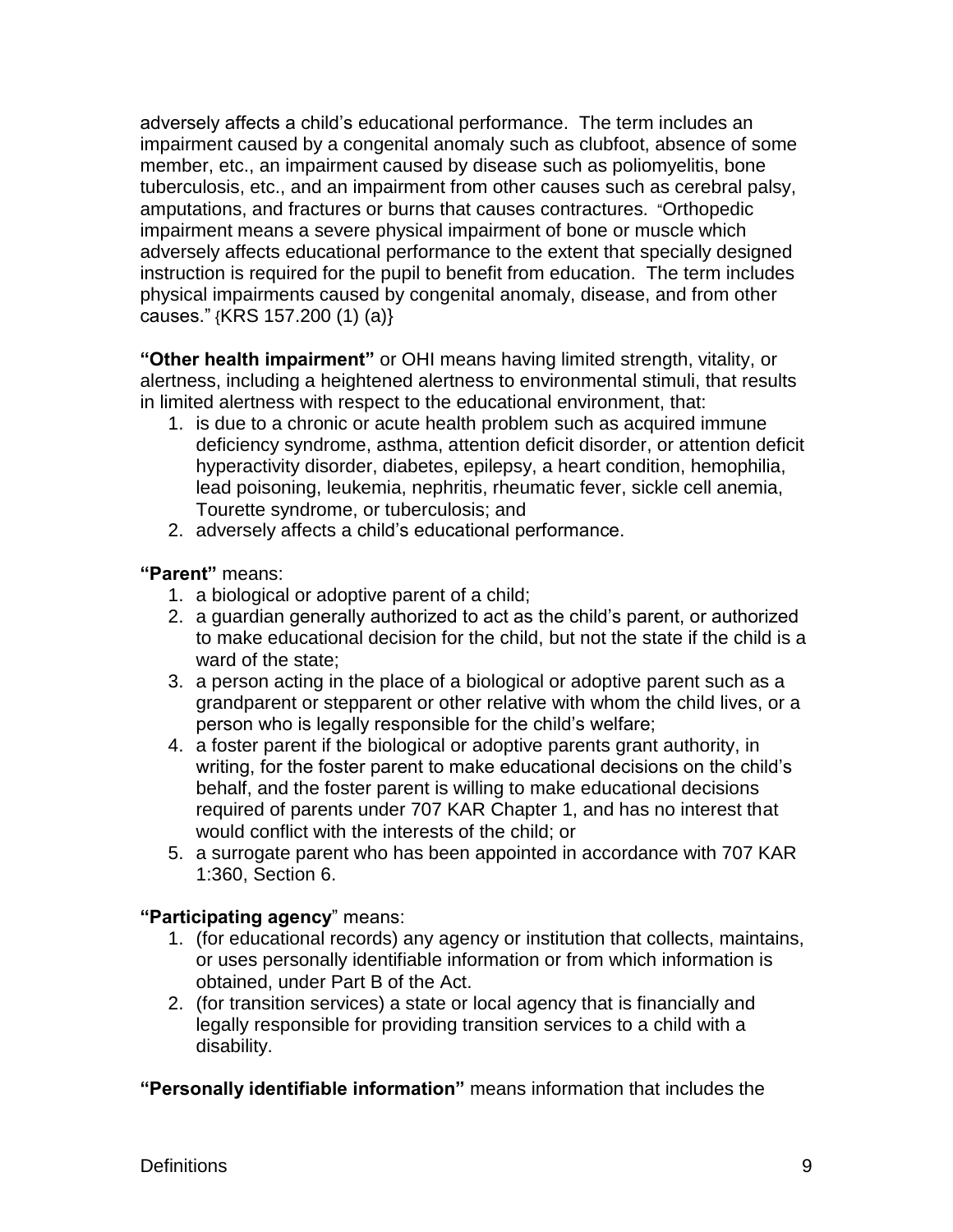adversely affects a child's educational performance. The term includes an impairment caused by a congenital anomaly such as clubfoot, absence of some member, etc., an impairment caused by disease such as poliomyelitis, bone tuberculosis, etc., and an impairment from other causes such as cerebral palsy, amputations, and fractures or burns that causes contractures. "Orthopedic impairment means a severe physical impairment of bone or muscle which adversely affects educational performance to the extent that specially designed instruction is required for the pupil to benefit from education. The term includes physical impairments caused by congenital anomaly, disease, and from other causes." {KRS 157.200 (1) (a)}

**"Other health impairment"** or OHI means having limited strength, vitality, or alertness, including a heightened alertness to environmental stimuli, that results in limited alertness with respect to the educational environment, that:

- 1. is due to a chronic or acute health problem such as acquired immune deficiency syndrome, asthma, attention deficit disorder, or attention deficit hyperactivity disorder, diabetes, epilepsy, a heart condition, hemophilia, lead poisoning, leukemia, nephritis, rheumatic fever, sickle cell anemia, Tourette syndrome, or tuberculosis; and
- 2. adversely affects a child's educational performance.

**"Parent"** means:

- 1. a biological or adoptive parent of a child;
- 2. a guardian generally authorized to act as the child's parent, or authorized to make educational decision for the child, but not the state if the child is a ward of the state;
- 3. a person acting in the place of a biological or adoptive parent such as a grandparent or stepparent or other relative with whom the child lives, or a person who is legally responsible for the child's welfare;
- 4. a foster parent if the biological or adoptive parents grant authority, in writing, for the foster parent to make educational decisions on the child's behalf, and the foster parent is willing to make educational decisions required of parents under 707 KAR Chapter 1, and has no interest that would conflict with the interests of the child; or
- 5. a surrogate parent who has been appointed in accordance with 707 KAR 1:360, Section 6.

## **"Participating agency**" means:

- 1. (for educational records) any agency or institution that collects, maintains, or uses personally identifiable information or from which information is obtained, under Part B of the Act.
- 2. (for transition services) a state or local agency that is financially and legally responsible for providing transition services to a child with a disability.

**"Personally identifiable information"** means information that includes the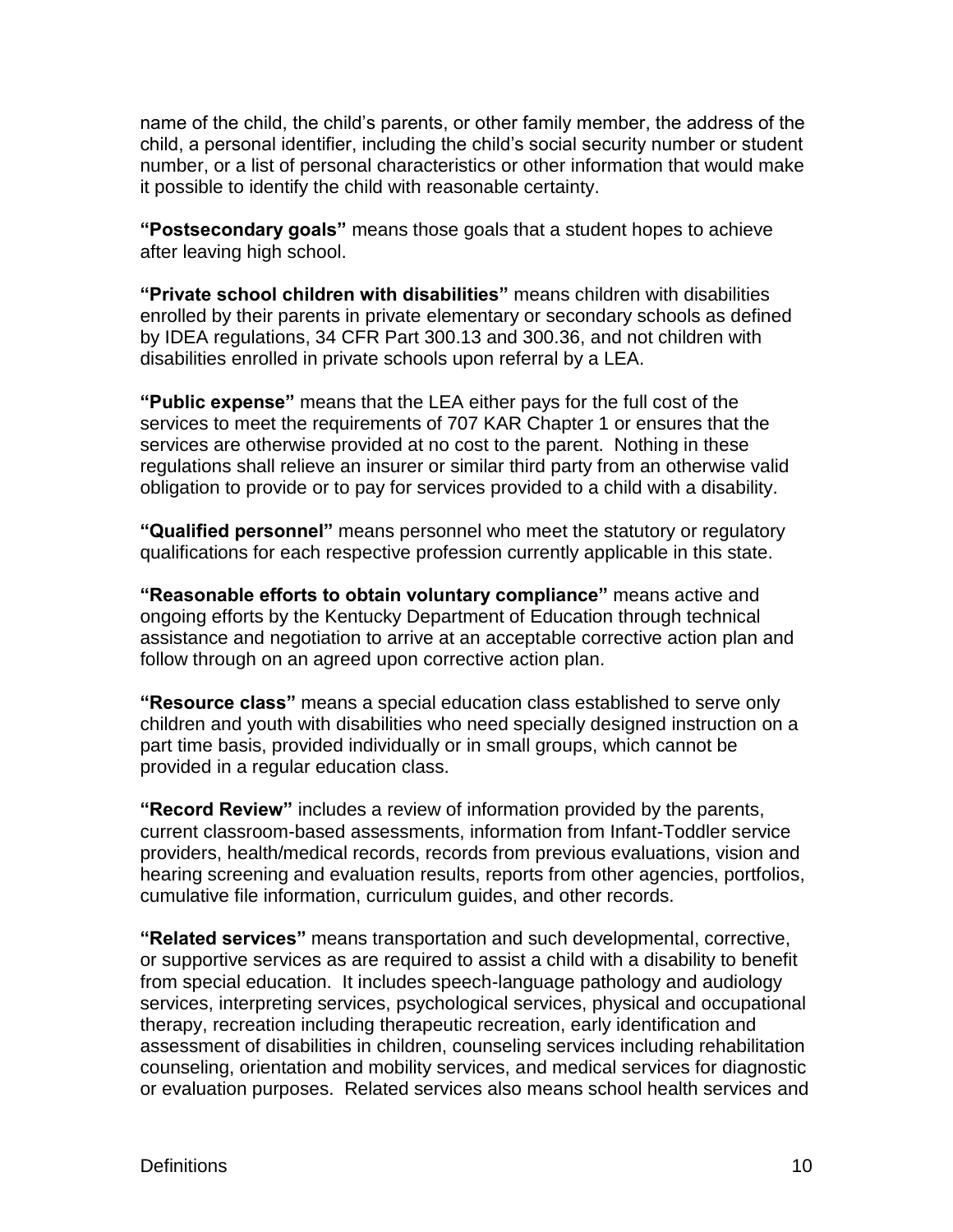name of the child, the child's parents, or other family member, the address of the child, a personal identifier, including the child's social security number or student number, or a list of personal characteristics or other information that would make it possible to identify the child with reasonable certainty.

**"Postsecondary goals"** means those goals that a student hopes to achieve after leaving high school.

**"Private school children with disabilities"** means children with disabilities enrolled by their parents in private elementary or secondary schools as defined by IDEA regulations, 34 CFR Part 300.13 and 300.36, and not children with disabilities enrolled in private schools upon referral by a LEA.

**"Public expense"** means that the LEA either pays for the full cost of the services to meet the requirements of 707 KAR Chapter 1 or ensures that the services are otherwise provided at no cost to the parent. Nothing in these regulations shall relieve an insurer or similar third party from an otherwise valid obligation to provide or to pay for services provided to a child with a disability.

**"Qualified personnel"** means personnel who meet the statutory or regulatory qualifications for each respective profession currently applicable in this state.

**"Reasonable efforts to obtain voluntary compliance"** means active and ongoing efforts by the Kentucky Department of Education through technical assistance and negotiation to arrive at an acceptable corrective action plan and follow through on an agreed upon corrective action plan.

**"Resource class"** means a special education class established to serve only children and youth with disabilities who need specially designed instruction on a part time basis, provided individually or in small groups, which cannot be provided in a regular education class.

**"Record Review"** includes a review of information provided by the parents, current classroom-based assessments, information from Infant-Toddler service providers, health/medical records, records from previous evaluations, vision and hearing screening and evaluation results, reports from other agencies, portfolios, cumulative file information, curriculum guides, and other records.

**"Related services"** means transportation and such developmental, corrective, or supportive services as are required to assist a child with a disability to benefit from special education. It includes speech-language pathology and audiology services, interpreting services, psychological services, physical and occupational therapy, recreation including therapeutic recreation, early identification and assessment of disabilities in children, counseling services including rehabilitation counseling, orientation and mobility services, and medical services for diagnostic or evaluation purposes. Related services also means school health services and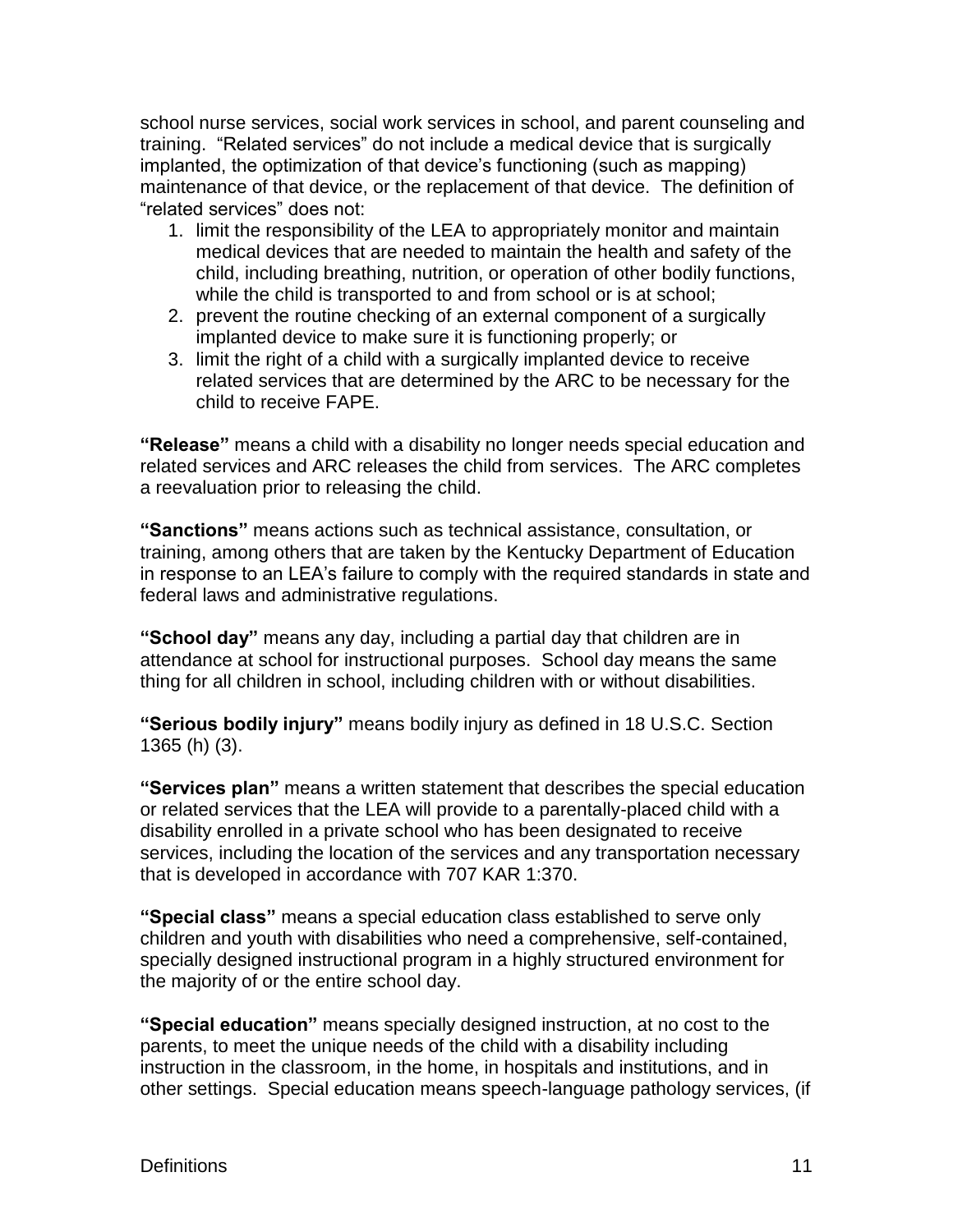school nurse services, social work services in school, and parent counseling and training. "Related services" do not include a medical device that is surgically implanted, the optimization of that device's functioning (such as mapping) maintenance of that device, or the replacement of that device. The definition of "related services" does not:

- 1. limit the responsibility of the LEA to appropriately monitor and maintain medical devices that are needed to maintain the health and safety of the child, including breathing, nutrition, or operation of other bodily functions, while the child is transported to and from school or is at school;
- 2. prevent the routine checking of an external component of a surgically implanted device to make sure it is functioning properly; or
- 3. limit the right of a child with a surgically implanted device to receive related services that are determined by the ARC to be necessary for the child to receive FAPE.

**"Release"** means a child with a disability no longer needs special education and related services and ARC releases the child from services. The ARC completes a reevaluation prior to releasing the child.

**"Sanctions"** means actions such as technical assistance, consultation, or training, among others that are taken by the Kentucky Department of Education in response to an LEA's failure to comply with the required standards in state and federal laws and administrative regulations.

**"School day"** means any day, including a partial day that children are in attendance at school for instructional purposes. School day means the same thing for all children in school, including children with or without disabilities.

**"Serious bodily injury"** means bodily injury as defined in 18 U.S.C. Section 1365 (h) (3).

**"Services plan"** means a written statement that describes the special education or related services that the LEA will provide to a parentally-placed child with a disability enrolled in a private school who has been designated to receive services, including the location of the services and any transportation necessary that is developed in accordance with 707 KAR 1:370.

**"Special class"** means a special education class established to serve only children and youth with disabilities who need a comprehensive, self-contained, specially designed instructional program in a highly structured environment for the majority of or the entire school day.

**"Special education"** means specially designed instruction, at no cost to the parents, to meet the unique needs of the child with a disability including instruction in the classroom, in the home, in hospitals and institutions, and in other settings. Special education means speech-language pathology services, (if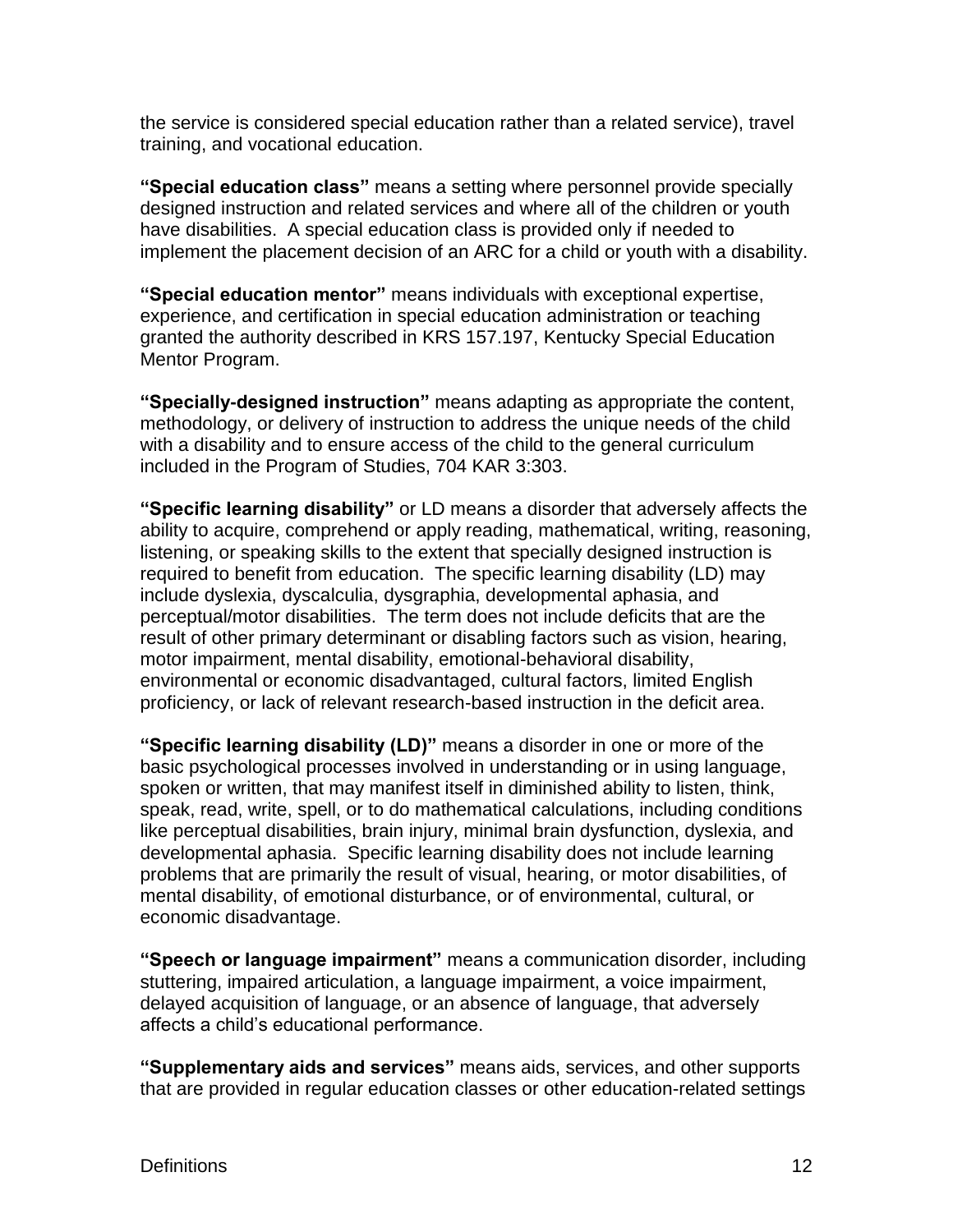the service is considered special education rather than a related service), travel training, and vocational education.

**"Special education class"** means a setting where personnel provide specially designed instruction and related services and where all of the children or youth have disabilities. A special education class is provided only if needed to implement the placement decision of an ARC for a child or youth with a disability.

**"Special education mentor"** means individuals with exceptional expertise, experience, and certification in special education administration or teaching granted the authority described in KRS 157.197, Kentucky Special Education Mentor Program.

**"Specially-designed instruction"** means adapting as appropriate the content, methodology, or delivery of instruction to address the unique needs of the child with a disability and to ensure access of the child to the general curriculum included in the Program of Studies, 704 KAR 3:303.

**"Specific learning disability"** or LD means a disorder that adversely affects the ability to acquire, comprehend or apply reading, mathematical, writing, reasoning, listening, or speaking skills to the extent that specially designed instruction is required to benefit from education. The specific learning disability (LD) may include dyslexia, dyscalculia, dysgraphia, developmental aphasia, and perceptual/motor disabilities. The term does not include deficits that are the result of other primary determinant or disabling factors such as vision, hearing, motor impairment, mental disability, emotional-behavioral disability, environmental or economic disadvantaged, cultural factors, limited English proficiency, or lack of relevant research-based instruction in the deficit area.

**"Specific learning disability (LD)"** means a disorder in one or more of the basic psychological processes involved in understanding or in using language, spoken or written, that may manifest itself in diminished ability to listen, think, speak, read, write, spell, or to do mathematical calculations, including conditions like perceptual disabilities, brain injury, minimal brain dysfunction, dyslexia, and developmental aphasia. Specific learning disability does not include learning problems that are primarily the result of visual, hearing, or motor disabilities, of mental disability, of emotional disturbance, or of environmental, cultural, or economic disadvantage.

**"Speech or language impairment"** means a communication disorder, including stuttering, impaired articulation, a language impairment, a voice impairment, delayed acquisition of language, or an absence of language, that adversely affects a child's educational performance.

**"Supplementary aids and services"** means aids, services, and other supports that are provided in regular education classes or other education-related settings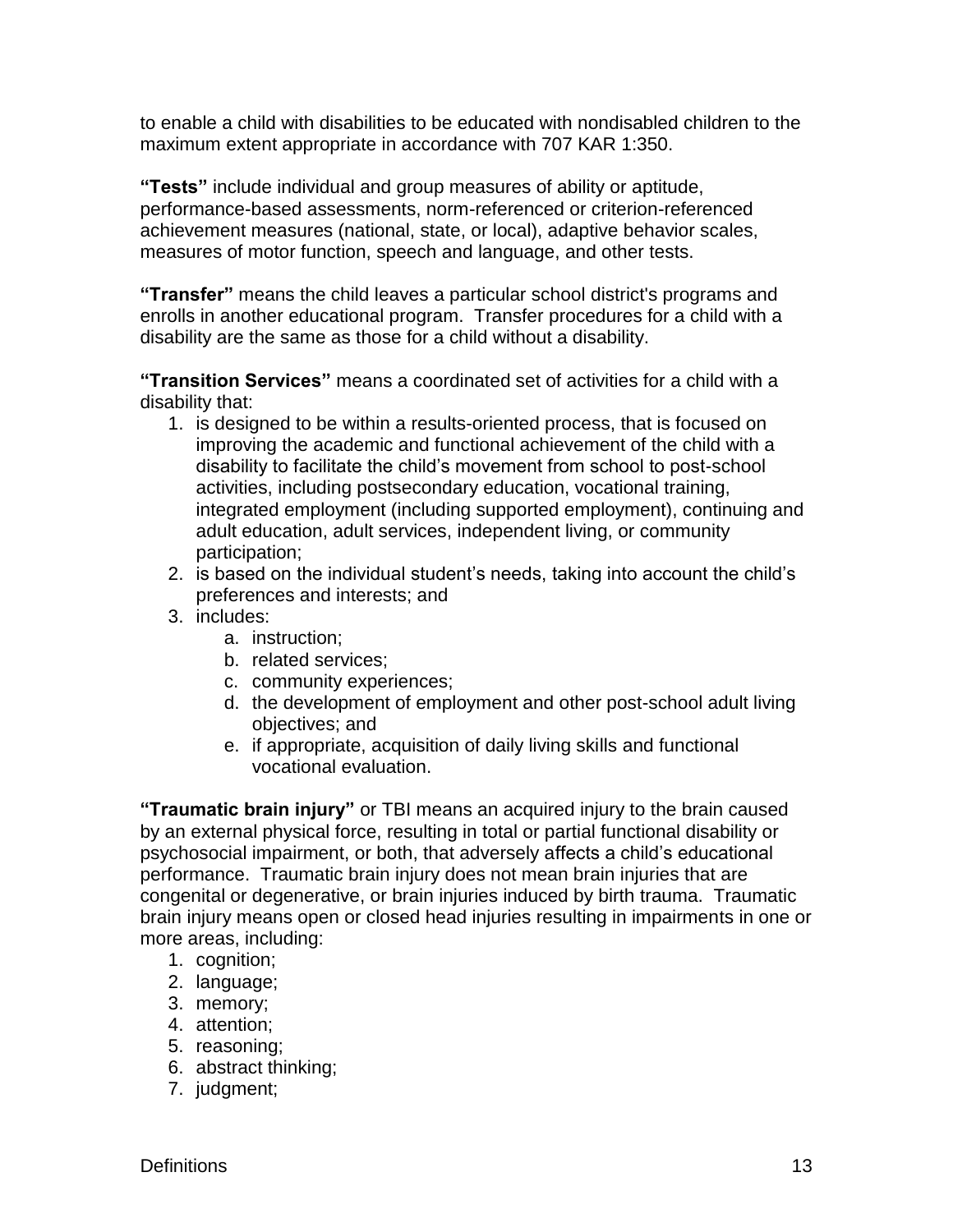to enable a child with disabilities to be educated with nondisabled children to the maximum extent appropriate in accordance with 707 KAR 1:350.

**"Tests"** include individual and group measures of ability or aptitude, performance-based assessments, norm-referenced or criterion-referenced achievement measures (national, state, or local), adaptive behavior scales, measures of motor function, speech and language, and other tests.

**"Transfer"** means the child leaves a particular school district's programs and enrolls in another educational program. Transfer procedures for a child with a disability are the same as those for a child without a disability.

**"Transition Services"** means a coordinated set of activities for a child with a disability that:

- 1. is designed to be within a results-oriented process, that is focused on improving the academic and functional achievement of the child with a disability to facilitate the child's movement from school to post-school activities, including postsecondary education, vocational training, integrated employment (including supported employment), continuing and adult education, adult services, independent living, or community participation;
- 2. is based on the individual student's needs, taking into account the child's preferences and interests; and
- 3. includes:
	- a. instruction;
	- b. related services;
	- c. community experiences;
	- d. the development of employment and other post-school adult living objectives; and
	- e. if appropriate, acquisition of daily living skills and functional vocational evaluation.

**"Traumatic brain injury"** or TBI means an acquired injury to the brain caused by an external physical force, resulting in total or partial functional disability or psychosocial impairment, or both, that adversely affects a child's educational performance. Traumatic brain injury does not mean brain injuries that are congenital or degenerative, or brain injuries induced by birth trauma. Traumatic brain injury means open or closed head injuries resulting in impairments in one or more areas, including:

- 1. cognition;
- 2. language;
- 3. memory;
- 4. attention;
- 5. reasoning;
- 6. abstract thinking;
- 7. judgment;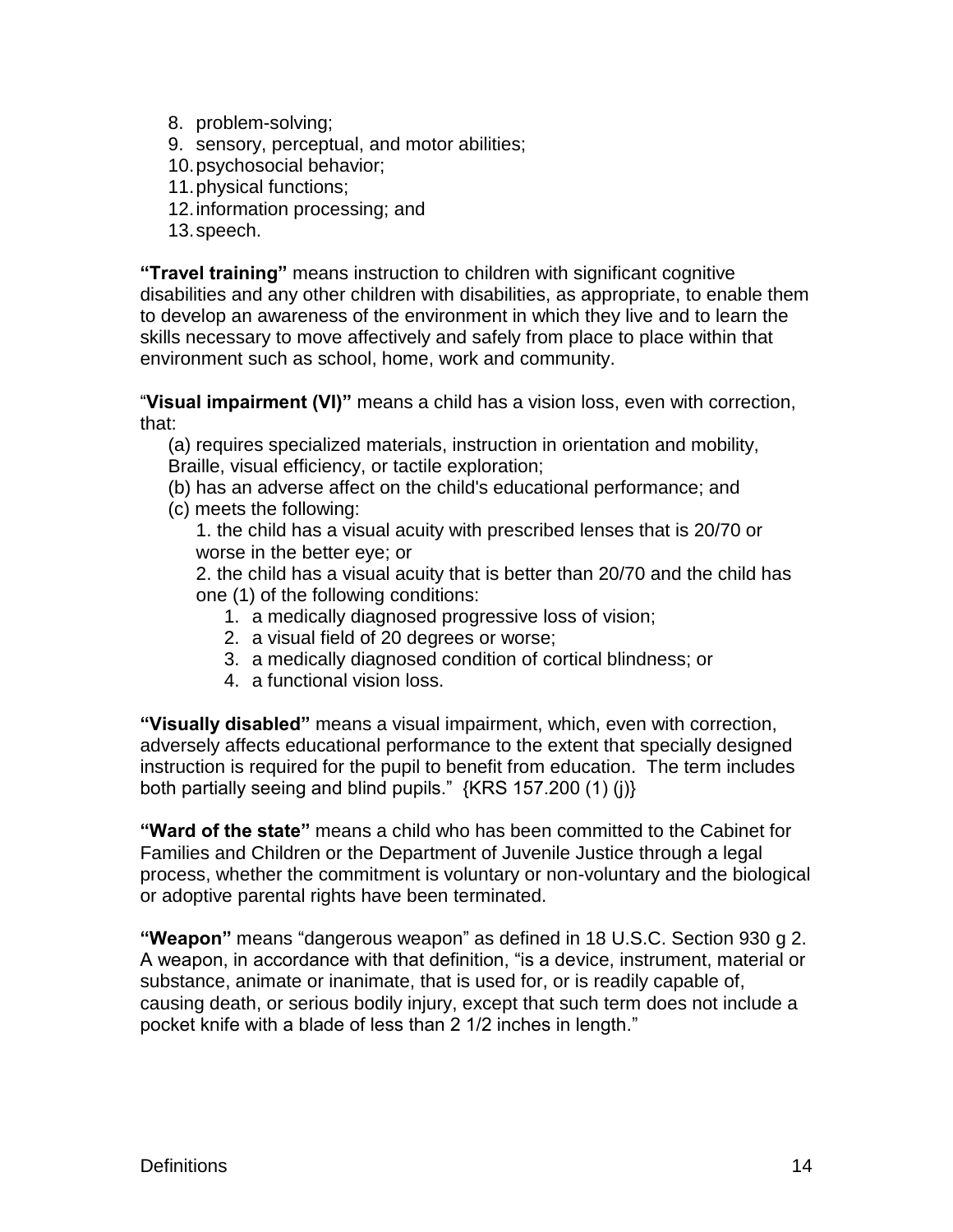- 8. problem-solving;
- 9. sensory, perceptual, and motor abilities;
- 10.psychosocial behavior;
- 11.physical functions;
- 12.information processing; and
- 13.speech.

**"Travel training"** means instruction to children with significant cognitive disabilities and any other children with disabilities, as appropriate, to enable them to develop an awareness of the environment in which they live and to learn the skills necessary to move affectively and safely from place to place within that environment such as school, home, work and community.

"**Visual impairment (VI)"** means a child has a vision loss, even with correction, that:

(a) requires specialized materials, instruction in orientation and mobility, Braille, visual efficiency, or tactile exploration;

- (b) has an adverse affect on the child's educational performance; and
- (c) meets the following:

1. the child has a visual acuity with prescribed lenses that is 20/70 or worse in the better eye; or

2. the child has a visual acuity that is better than 20/70 and the child has one (1) of the following conditions:

- 1. a medically diagnosed progressive loss of vision;
- 2. a visual field of 20 degrees or worse;
- 3. a medically diagnosed condition of cortical blindness; or
- 4. a functional vision loss.

**"Visually disabled"** means a visual impairment, which, even with correction, adversely affects educational performance to the extent that specially designed instruction is required for the pupil to benefit from education. The term includes both partially seeing and blind pupils." {KRS 157.200 (1) (j)}

**"Ward of the state"** means a child who has been committed to the Cabinet for Families and Children or the Department of Juvenile Justice through a legal process, whether the commitment is voluntary or non-voluntary and the biological or adoptive parental rights have been terminated.

**"Weapon"** means "dangerous weapon" as defined in 18 U.S.C. Section 930 g 2. A weapon, in accordance with that definition, "is a device, instrument, material or substance, animate or inanimate, that is used for, or is readily capable of, causing death, or serious bodily injury, except that such term does not include a pocket knife with a blade of less than 2 1/2 inches in length."